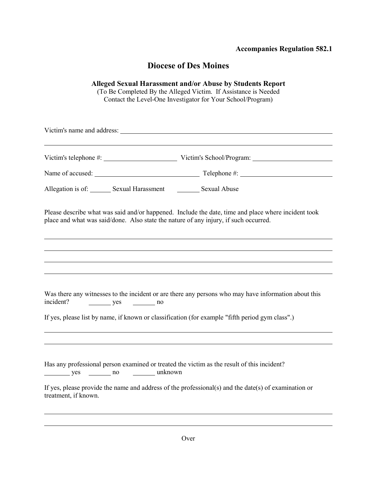#### **Accompanies Regulation 582.1**

### **Diocese of Des Moines**

#### **Alleged Sexual Harassment and/or Abuse by Students Report**

(To Be Completed By the Alleged Victim. If Assistance is Needed Contact the Level-One Investigator for Your School/Program)

Victim's name and address:

Victim's telephone #: Victim's School/Program:

Name of accused: Telephone #:

Allegation is of: Sexual Harassment Sexual Abuse

Please describe what was said and/or happened. Include the date, time and place where incident took place and what was said/done. Also state the nature of any injury, if such occurred.

| Was there any witnesses to the incident or are there any persons who may have information about this<br>incident?<br>$yes$ no    |
|----------------------------------------------------------------------------------------------------------------------------------|
| If yes, please list by name, if known or classification (for example "fifth period gym class".)                                  |
|                                                                                                                                  |
|                                                                                                                                  |
| Has any professional person examined or treated the victim as the result of this incident?<br>yes _________ no _________ unknown |
| If yes, please provide the name and address of the professional(s) and the date(s) of examination or<br>treatment, if known.     |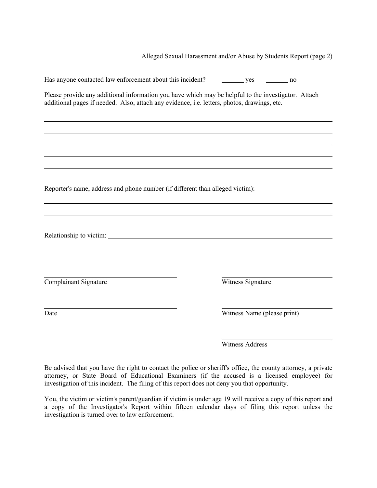Alleged Sexual Harassment and/or Abuse by Students Report (page 2)

| Has anyone contacted law enforcement about this incident?                                                                                                                                          | yes<br>no no                |
|----------------------------------------------------------------------------------------------------------------------------------------------------------------------------------------------------|-----------------------------|
| Please provide any additional information you have which may be helpful to the investigator. Attach<br>additional pages if needed. Also, attach any evidence, i.e. letters, photos, drawings, etc. |                             |
|                                                                                                                                                                                                    |                             |
|                                                                                                                                                                                                    |                             |
|                                                                                                                                                                                                    |                             |
|                                                                                                                                                                                                    |                             |
| Reporter's name, address and phone number (if different than alleged victim):                                                                                                                      |                             |
|                                                                                                                                                                                                    |                             |
|                                                                                                                                                                                                    |                             |
|                                                                                                                                                                                                    |                             |
|                                                                                                                                                                                                    |                             |
| Complainant Signature                                                                                                                                                                              | Witness Signature           |
| Date                                                                                                                                                                                               | Witness Name (please print) |

Witness Address

Be advised that you have the right to contact the police or sheriff's office, the county attorney, a private attorney, or State Board of Educational Examiners (if the accused is a licensed employee) for investigation of this incident. The filing of this report does not deny you that opportunity.

You, the victim or victim's parent/guardian if victim is under age 19 will receive a copy of this report and a copy of the Investigator's Report within fifteen calendar days of filing this report unless the investigation is turned over to law enforcement.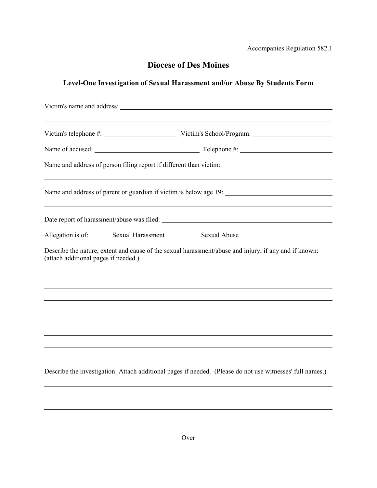Accompanies Regulation 582.1

# **Diocese of Des Moines**

## **Level-One Investigation of Sexual Harassment and/or Abuse By Students Form**

| Allegation is of: Sexual Harassment Sexual Abuse |                                                                                                           |  |
|--------------------------------------------------|-----------------------------------------------------------------------------------------------------------|--|
| (attach additional pages if needed.)             | Describe the nature, extent and cause of the sexual harassment/abuse and injury, if any and if known:     |  |
|                                                  |                                                                                                           |  |
|                                                  |                                                                                                           |  |
|                                                  |                                                                                                           |  |
|                                                  |                                                                                                           |  |
|                                                  |                                                                                                           |  |
|                                                  | Describe the investigation: Attach additional pages if needed. (Please do not use witnesses' full names.) |  |
|                                                  |                                                                                                           |  |
|                                                  |                                                                                                           |  |
|                                                  |                                                                                                           |  |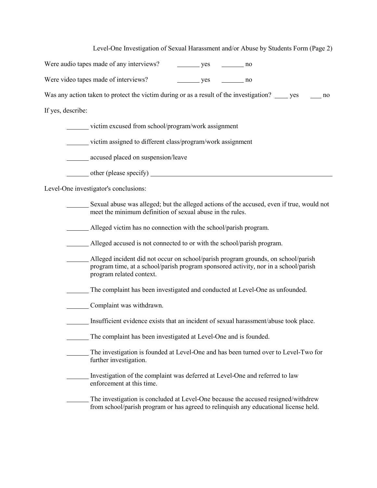Level-One Investigation of Sexual Harassment and/or Abuse by Students Form (Page 2)

|                   | Were audio tapes made of any interviews?<br>yes<br>no no                                                                                                                                             |
|-------------------|------------------------------------------------------------------------------------------------------------------------------------------------------------------------------------------------------|
|                   | Were video tapes made of interviews?<br>yes<br>no no                                                                                                                                                 |
|                   | Was any action taken to protect the victim during or as a result of the investigation? _____ yes<br>no                                                                                               |
| If yes, describe: |                                                                                                                                                                                                      |
|                   | victim excused from school/program/work assignment                                                                                                                                                   |
|                   | victim assigned to different class/program/work assignment                                                                                                                                           |
|                   | accused placed on suspension/leave                                                                                                                                                                   |
|                   |                                                                                                                                                                                                      |
|                   | Level-One investigator's conclusions:                                                                                                                                                                |
|                   | Sexual abuse was alleged; but the alleged actions of the accused, even if true, would not<br>meet the minimum definition of sexual abuse in the rules.                                               |
|                   | Alleged victim has no connection with the school/parish program.                                                                                                                                     |
|                   | Alleged accused is not connected to or with the school/parish program.                                                                                                                               |
|                   | Alleged incident did not occur on school/parish program grounds, on school/parish<br>program time, at a school/parish program sponsored activity, nor in a school/parish<br>program related context. |
|                   | The complaint has been investigated and conducted at Level-One as unfounded.                                                                                                                         |
|                   | Complaint was withdrawn.                                                                                                                                                                             |
|                   | Insufficient evidence exists that an incident of sexual harassment/abuse took place.                                                                                                                 |
|                   | The complaint has been investigated at Level-One and is founded.                                                                                                                                     |
|                   | The investigation is founded at Level-One and has been turned over to Level-Two for<br>further investigation.                                                                                        |
|                   | Investigation of the complaint was deferred at Level-One and referred to law<br>enforcement at this time.                                                                                            |
|                   |                                                                                                                                                                                                      |

The investigation is concluded at Level-One because the accused resigned/withdrew from school/parish program or has agreed to relinquish any educational license held.